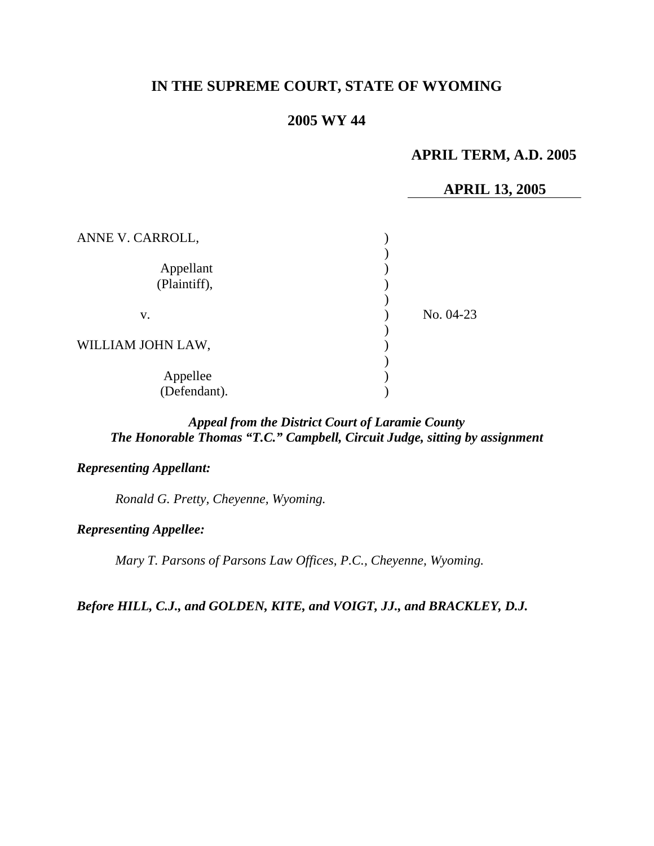# **IN THE SUPREME COURT, STATE OF WYOMING**

# **2005 WY 44**

# **APRIL TERM, A.D. 2005**

# **APRIL 13, 2005**

| ANNE V. CARROLL,          |             |
|---------------------------|-------------|
| Appellant<br>(Plaintiff), |             |
| V.                        | No. $04-23$ |
| WILLIAM JOHN LAW,         |             |
| Appellee<br>(Defendant).  |             |

# *Appeal from the District Court of Laramie County The Honorable Thomas "T.C." Campbell, Circuit Judge, sitting by assignment*

## *Representing Appellant:*

*Ronald G. Pretty, Cheyenne, Wyoming.* 

### *Representing Appellee:*

*Mary T. Parsons of Parsons Law Offices, P.C., Cheyenne, Wyoming.* 

*Before HILL, C.J., and GOLDEN, KITE, and VOIGT, JJ., and BRACKLEY, D.J.*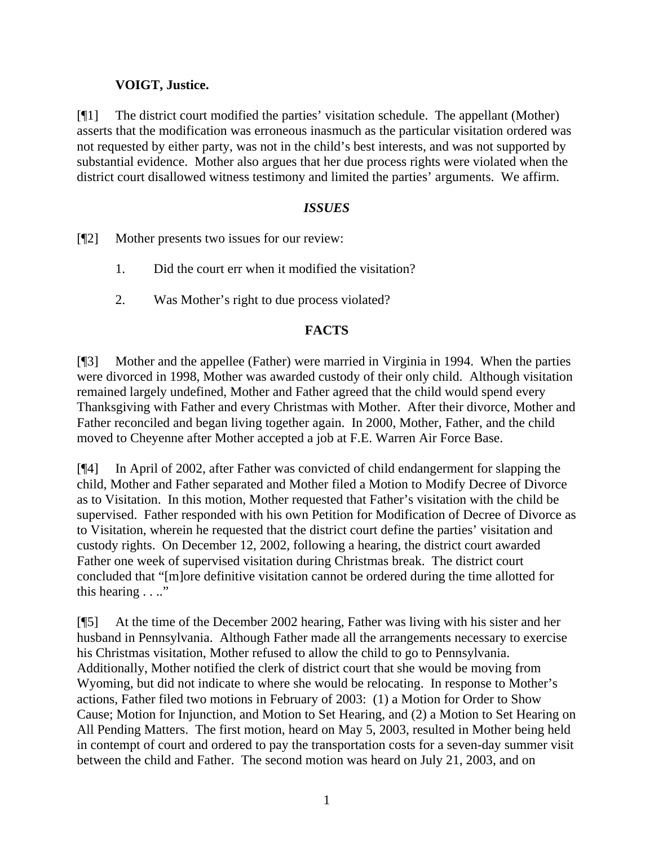# **VOIGT, Justice.**

[¶1] The district court modified the parties' visitation schedule. The appellant (Mother) asserts that the modification was erroneous inasmuch as the particular visitation ordered was not requested by either party, was not in the child's best interests, and was not supported by substantial evidence. Mother also argues that her due process rights were violated when the district court disallowed witness testimony and limited the parties' arguments. We affirm.

# *ISSUES*

[¶2] Mother presents two issues for our review:

- 1. Did the court err when it modified the visitation?
- 2. Was Mother's right to due process violated?

## **FACTS**

[¶3] Mother and the appellee (Father) were married in Virginia in 1994. When the parties were divorced in 1998, Mother was awarded custody of their only child. Although visitation remained largely undefined, Mother and Father agreed that the child would spend every Thanksgiving with Father and every Christmas with Mother. After their divorce, Mother and Father reconciled and began living together again. In 2000, Mother, Father, and the child moved to Cheyenne after Mother accepted a job at F.E. Warren Air Force Base.

[¶4] In April of 2002, after Father was convicted of child endangerment for slapping the child, Mother and Father separated and Mother filed a Motion to Modify Decree of Divorce as to Visitation. In this motion, Mother requested that Father's visitation with the child be supervised. Father responded with his own Petition for Modification of Decree of Divorce as to Visitation, wherein he requested that the district court define the parties' visitation and custody rights. On December 12, 2002, following a hearing, the district court awarded Father one week of supervised visitation during Christmas break. The district court concluded that "[m]ore definitive visitation cannot be ordered during the time allotted for this hearing . . .."

[¶5] At the time of the December 2002 hearing, Father was living with his sister and her husband in Pennsylvania. Although Father made all the arrangements necessary to exercise his Christmas visitation, Mother refused to allow the child to go to Pennsylvania. Additionally, Mother notified the clerk of district court that she would be moving from Wyoming, but did not indicate to where she would be relocating. In response to Mother's actions, Father filed two motions in February of 2003: (1) a Motion for Order to Show Cause; Motion for Injunction, and Motion to Set Hearing, and (2) a Motion to Set Hearing on All Pending Matters. The first motion, heard on May 5, 2003, resulted in Mother being held in contempt of court and ordered to pay the transportation costs for a seven-day summer visit between the child and Father. The second motion was heard on July 21, 2003, and on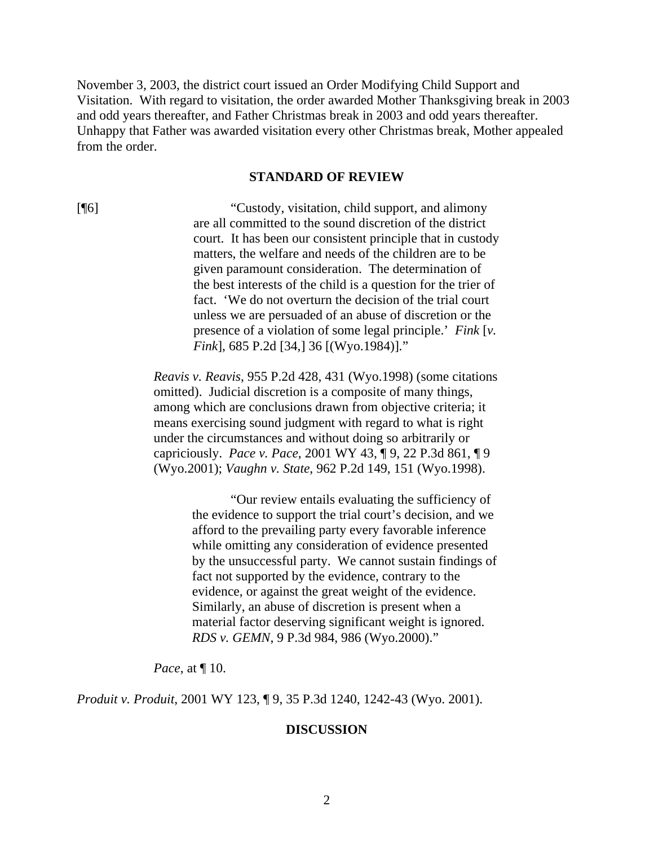November 3, 2003, the district court issued an Order Modifying Child Support and Visitation. With regard to visitation, the order awarded Mother Thanksgiving break in 2003 and odd years thereafter, and Father Christmas break in 2003 and odd years thereafter. Unhappy that Father was awarded visitation every other Christmas break, Mother appealed from the order.

#### **STANDARD OF REVIEW**

[¶6] "Custody, visitation, child support, and alimony are all committed to the sound discretion of the district court. It has been our consistent principle that in custody matters, the welfare and needs of the children are to be given paramount consideration. The determination of the best interests of the child is a question for the trier of fact. 'We do not overturn the decision of the trial court unless we are persuaded of an abuse of discretion or the presence of a violation of some legal principle.' *Fink* [*v. Fink*], 685 P.2d [34,] 36 [(Wyo.1984)]."

> *Reavis v. Reavis*, 955 P.2d 428, 431 (Wyo.1998) (some citations omitted). Judicial discretion is a composite of many things, among which are conclusions drawn from objective criteria; it means exercising sound judgment with regard to what is right under the circumstances and without doing so arbitrarily or capriciously. *Pace v. Pace*, 2001 WY 43, ¶ 9, 22 P.3d 861, ¶ 9 (Wyo.2001); *Vaughn v. State*, 962 P.2d 149, 151 (Wyo.1998).

> > "Our review entails evaluating the sufficiency of the evidence to support the trial court's decision, and we afford to the prevailing party every favorable inference while omitting any consideration of evidence presented by the unsuccessful party. We cannot sustain findings of fact not supported by the evidence, contrary to the evidence, or against the great weight of the evidence. Similarly, an abuse of discretion is present when a material factor deserving significant weight is ignored. *RDS v. GEMN*, 9 P.3d 984, 986 (Wyo.2000)."

*Pace*, at  $\P$  10.

*Produit v. Produit*, 2001 WY 123, ¶ 9, 35 P.3d 1240, 1242-43 (Wyo. 2001).

#### **DISCUSSION**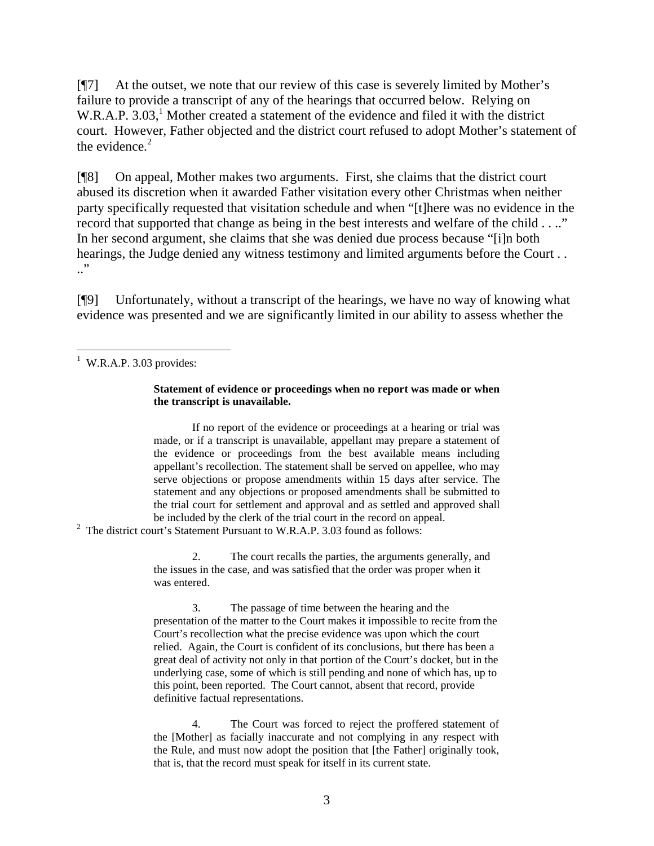[¶7] At the outset, we note that our review of this case is severely limited by Mother's failure to provide a transcript of any of the hearings that occurred below. Relying on W.R.A.P. 3.03,<sup>[1](#page-3-0)</sup> Mother created a statement of the evidence and filed it with the district court. However, Father objected and the district court refused to adopt Mother's statement of the evidence. $2$ 

[¶8] On appeal, Mother makes two arguments. First, she claims that the district court abused its discretion when it awarded Father visitation every other Christmas when neither party specifically requested that visitation schedule and when "[t]here was no evidence in the record that supported that change as being in the best interests and welfare of the child . . .." In her second argument, she claims that she was denied due process because "[i]n both hearings, the Judge denied any witness testimony and limited arguments before the Court . . .."

[¶9] Unfortunately, without a transcript of the hearings, we have no way of knowing what evidence was presented and we are significantly limited in our ability to assess whether the

#### **Statement of evidence or proceedings when no report was made or when the transcript is unavailable.**

If no report of the evidence or proceedings at a hearing or trial was made, or if a transcript is unavailable, appellant may prepare a statement of the evidence or proceedings from the best available means including appellant's recollection. The statement shall be served on appellee, who may serve objections or propose amendments within 15 days after service. The statement and any objections or proposed amendments shall be submitted to the trial court for settlement and approval and as settled and approved shall be included by the clerk of the trial court in the record on appeal.

<span id="page-3-1"></span><sup>2</sup> The district court's Statement Pursuant to W.R.A.P. 3.03 found as follows:

2. The court recalls the parties, the arguments generally, and the issues in the case, and was satisfied that the order was proper when it was entered.

3. The passage of time between the hearing and the presentation of the matter to the Court makes it impossible to recite from the Court's recollection what the precise evidence was upon which the court relied. Again, the Court is confident of its conclusions, but there has been a great deal of activity not only in that portion of the Court's docket, but in the underlying case, some of which is still pending and none of which has, up to this point, been reported. The Court cannot, absent that record, provide definitive factual representations.

4. The Court was forced to reject the proffered statement of the [Mother] as facially inaccurate and not complying in any respect with the Rule, and must now adopt the position that [the Father] originally took, that is, that the record must speak for itself in its current state.

<span id="page-3-0"></span> $\frac{1}{1}$  W.R.A.P. 3.03 provides: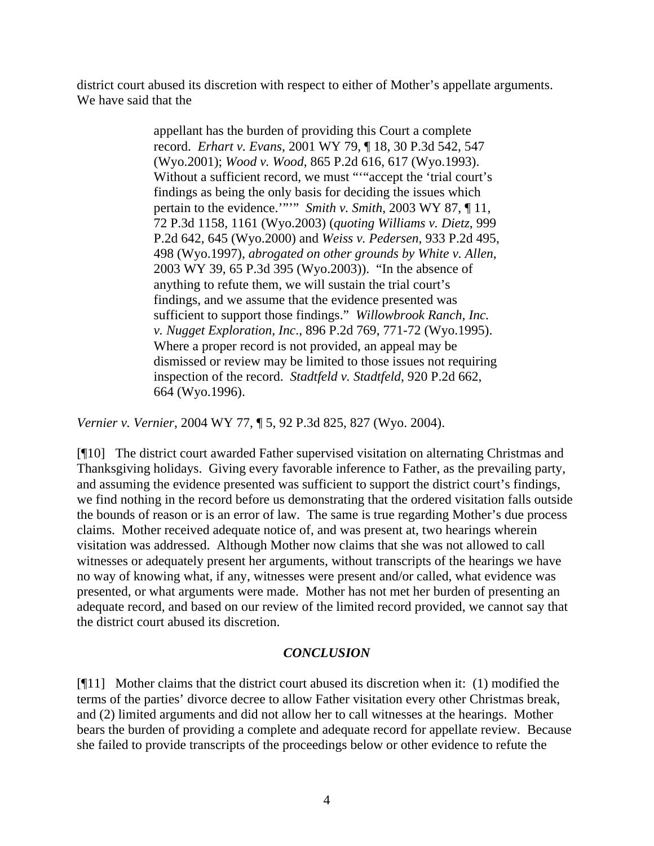district court abused its discretion with respect to either of Mother's appellate arguments. We have said that the

> appellant has the burden of providing this Court a complete record. *Erhart v. Evans*, 2001 WY 79, ¶ 18, 30 P.3d 542, 547 (Wyo.2001); *Wood v. Wood*, 865 P.2d 616, 617 (Wyo.1993). Without a sufficient record, we must ""accept the 'trial court's findings as being the only basis for deciding the issues which pertain to the evidence.'""" *Smith v. Smith*, 2003 WY 87, ¶ 11, 72 P.3d 1158, 1161 (Wyo.2003) (*quoting Williams v. Dietz*, 999 P.2d 642, 645 (Wyo.2000) and *Weiss v. Pedersen*, 933 P.2d 495, 498 (Wyo.1997), *abrogated on other grounds by White v. Allen*, 2003 WY 39, 65 P.3d 395 (Wyo.2003)). "In the absence of anything to refute them, we will sustain the trial court's findings, and we assume that the evidence presented was sufficient to support those findings." *Willowbrook Ranch, Inc. v. Nugget Exploration, Inc*., 896 P.2d 769, 771-72 (Wyo.1995). Where a proper record is not provided, an appeal may be dismissed or review may be limited to those issues not requiring inspection of the record. *Stadtfeld v. Stadtfeld*, 920 P.2d 662, 664 (Wyo.1996).

*Vernier v. Vernier*, 2004 WY 77, ¶ 5, 92 P.3d 825, 827 (Wyo. 2004).

[¶10] The district court awarded Father supervised visitation on alternating Christmas and Thanksgiving holidays. Giving every favorable inference to Father, as the prevailing party, and assuming the evidence presented was sufficient to support the district court's findings, we find nothing in the record before us demonstrating that the ordered visitation falls outside the bounds of reason or is an error of law. The same is true regarding Mother's due process claims. Mother received adequate notice of, and was present at, two hearings wherein visitation was addressed. Although Mother now claims that she was not allowed to call witnesses or adequately present her arguments, without transcripts of the hearings we have no way of knowing what, if any, witnesses were present and/or called, what evidence was presented, or what arguments were made. Mother has not met her burden of presenting an adequate record, and based on our review of the limited record provided, we cannot say that the district court abused its discretion.

## *CONCLUSION*

[¶11] Mother claims that the district court abused its discretion when it: (1) modified the terms of the parties' divorce decree to allow Father visitation every other Christmas break, and (2) limited arguments and did not allow her to call witnesses at the hearings. Mother bears the burden of providing a complete and adequate record for appellate review. Because she failed to provide transcripts of the proceedings below or other evidence to refute the